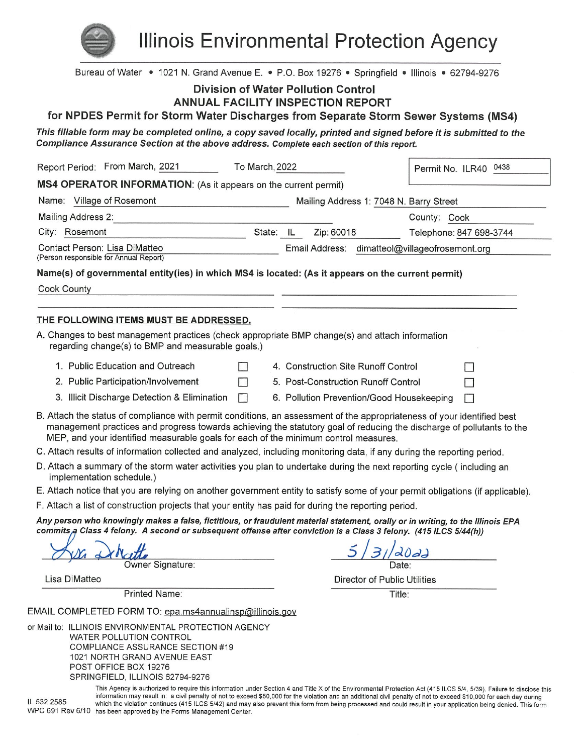

**Illinois Environmental Protection Agency** 

| Bureau of Water • 1021 N. Grand Avenue E. • P.O. Box 19276 • Springfield • Illinois • 62794-9276                                                                                                                                                                                                                                        |                                                |                         |
|-----------------------------------------------------------------------------------------------------------------------------------------------------------------------------------------------------------------------------------------------------------------------------------------------------------------------------------------|------------------------------------------------|-------------------------|
| <b>Division of Water Pollution Control</b>                                                                                                                                                                                                                                                                                              |                                                |                         |
| <b>ANNUAL FACILITY INSPECTION REPORT</b>                                                                                                                                                                                                                                                                                                |                                                |                         |
| for NPDES Permit for Storm Water Discharges from Separate Storm Sewer Systems (MS4)                                                                                                                                                                                                                                                     |                                                |                         |
| This fillable form may be completed online, a copy saved locally, printed and signed before it is submitted to the<br>Compliance Assurance Section at the above address. Complete each section of this report.                                                                                                                          |                                                |                         |
| Report Period: From March, 2021<br>To March, 2022                                                                                                                                                                                                                                                                                       |                                                | Permit No. ILR40 0438   |
| MS4 OPERATOR INFORMATION: (As it appears on the current permit)                                                                                                                                                                                                                                                                         |                                                |                         |
| Name: Village of Rosemont                                                                                                                                                                                                                                                                                                               | Mailing Address 1: 7048 N. Barry Street        |                         |
| Mailing Address 2:<br><u> 1980 - Johann Barn, mars ar breithinn ar chuid ann an t-</u>                                                                                                                                                                                                                                                  |                                                | County: Cook            |
| City: Rosemont<br>State: IL                                                                                                                                                                                                                                                                                                             | Zip: 60018                                     | Telephone: 847 698-3744 |
| Contact Person: Lisa DiMatteo<br>(Person responsible for Annual Report)                                                                                                                                                                                                                                                                 | Email Address: dimatteol@villageofrosemont.org |                         |
| Name(s) of governmental entity(ies) in which MS4 is located: (As it appears on the current permit)                                                                                                                                                                                                                                      |                                                |                         |
| Cook County                                                                                                                                                                                                                                                                                                                             |                                                |                         |
|                                                                                                                                                                                                                                                                                                                                         |                                                |                         |
| THE FOLLOWING ITEMS MUST BE ADDRESSED.                                                                                                                                                                                                                                                                                                  |                                                |                         |
| A. Changes to best management practices (check appropriate BMP change(s) and attach information<br>regarding change(s) to BMP and measurable goals.)                                                                                                                                                                                    |                                                |                         |
| 1. Public Education and Outreach<br>$\Box$                                                                                                                                                                                                                                                                                              | 4. Construction Site Runoff Control            |                         |
| 2. Public Participation/Involvement<br>П                                                                                                                                                                                                                                                                                                | 5. Post-Construction Runoff Control            |                         |
| 3. Illicit Discharge Detection & Elimination<br>$\Box$                                                                                                                                                                                                                                                                                  | 6. Pollution Prevention/Good Housekeeping      |                         |
| B. Attach the status of compliance with permit conditions, an assessment of the appropriateness of your identified best<br>management practices and progress towards achieving the statutory goal of reducing the discharge of pollutants to the<br>MEP, and your identified measurable goals for each of the minimum control measures. |                                                |                         |
| C. Attach results of information collected and analyzed, including monitoring data, if any during the reporting period.                                                                                                                                                                                                                 |                                                |                         |
| D. Attach a summary of the storm water activities you plan to undertake during the next reporting cycle (including an<br>implementation schedule.)                                                                                                                                                                                      |                                                |                         |
| E. Attach notice that you are relying on another government entity to satisfy some of your permit obligations (if applicable).                                                                                                                                                                                                          |                                                |                         |
| F. Attach a list of construction projects that your entity has paid for during the reporting period.                                                                                                                                                                                                                                    |                                                |                         |
| Any person who knowingly makes a false, fictitious, or fraudulent material statement, orally or in writing, to the Illinois EPA<br>commits,a Class 4 felony. A second or subsequent offense after conviction is a Class 3 felony. (415 ILCS 5/44(h))                                                                                    |                                                |                         |
| Owner Signature:                                                                                                                                                                                                                                                                                                                        | Date:                                          |                         |
| Lisa DiMatteo                                                                                                                                                                                                                                                                                                                           | Director of Public Utilities                   |                         |
| <b>Printed Name:</b>                                                                                                                                                                                                                                                                                                                    | Title:                                         |                         |
| EMAIL COMPLETED FORM TO: epa.ms4annualinsp@illinois.gov                                                                                                                                                                                                                                                                                 |                                                |                         |
| or Mail to: ILLINOIS ENVIRONMENTAL PROTECTION AGENCY<br><b>WATER POLLUTION CONTROL</b><br><b>COMPLIANCE ASSURANCE SECTION #19</b><br>1021 NORTH GRAND AVENUE EAST<br>POST OFFICE BOX 19276                                                                                                                                              |                                                |                         |

SPRINGFIELD, ILLINOIS 62794-9276

IL 532 2585

This Agency is authorized to require this information under Section 4 and Title X of the Environmental Protection Act (415 ILCS 5/4, 5/39). Failure to disclose this information may result in: a civil penalty of not to exceed \$50,000 for the violation and an additional civil penalty of not to exceed \$10,000 for each day during which the violation continues (415 ILCS 5/42) and may also prevent this form from being processed and could result in your application being denied. This form WPC 691 Rev 6/10 has been approved by the Forms Management Center.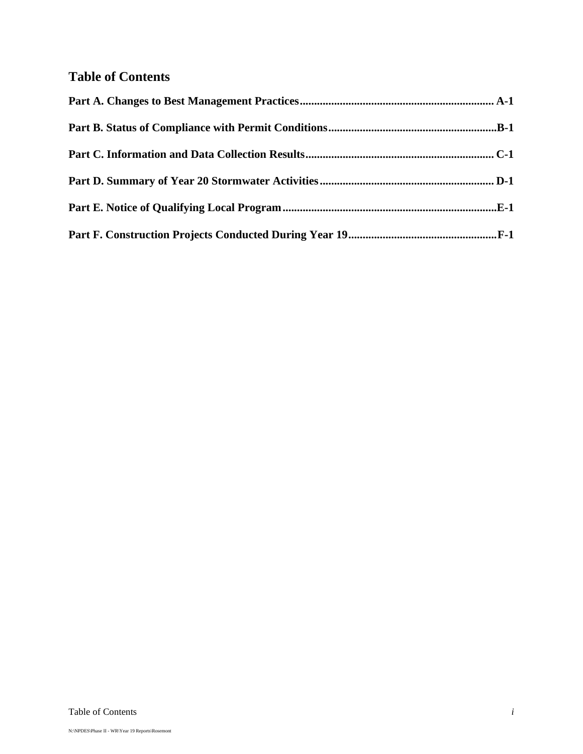## **Table of Contents**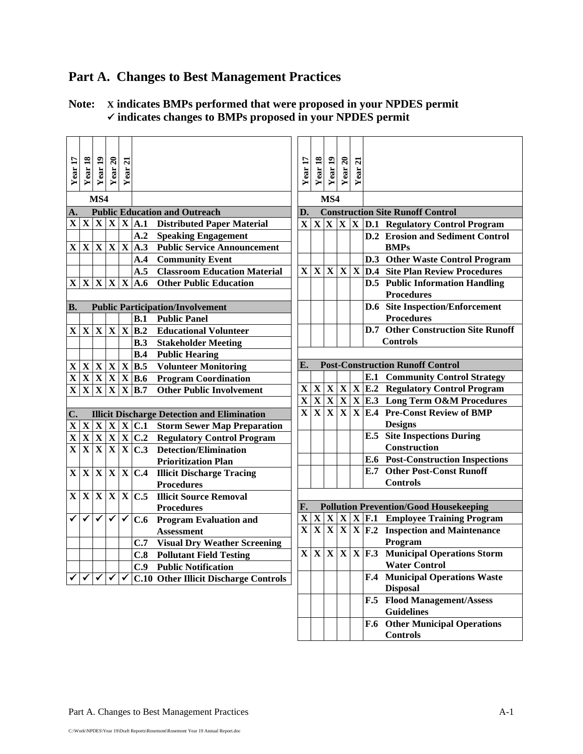# **Part A. Changes to Best Management Practices**

## **Note: X indicates BMPs performed that were proposed in your NPDES permit indicates changes to BMPs proposed in your NPDES permit**

| Year 17                 | Year 18                 | Year 19                      | Year 20              | $\overline{z}$ |                                                     |                                                          | Year 17                                            | Year 18                 | Year 19 | Year $20$ | $\overline{a}$ |     |                                                                                                          |
|-------------------------|-------------------------|------------------------------|----------------------|----------------|-----------------------------------------------------|----------------------------------------------------------|----------------------------------------------------|-------------------------|---------|-----------|----------------|-----|----------------------------------------------------------------------------------------------------------|
|                         |                         |                              |                      | Year           |                                                     |                                                          |                                                    |                         |         |           | Year           |     |                                                                                                          |
|                         |                         |                              |                      |                |                                                     |                                                          |                                                    |                         |         |           |                |     |                                                                                                          |
| MS4                     |                         |                              |                      |                |                                                     |                                                          | MS4                                                |                         |         |           |                |     |                                                                                                          |
| A.                      |                         |                              |                      |                |                                                     | <b>Public Education and Outreach</b>                     | D.                                                 |                         |         |           |                |     | <b>Construction Site Runoff Control</b>                                                                  |
| $\mathbf X$             | $\mathbf{X}$            | $\mathbf{X}$                 |                      |                |                                                     | $X X A.1$ Distributed Paper Material                     | $\mathbf{X}$                                       |                         |         |           |                |     | $\overline{X}$ $\overline{X}$ $\overline{X}$ $\overline{X}$ $\overline{D}$ .1 Regulatory Control Program |
|                         |                         |                              |                      |                | A.2                                                 | <b>Speaking Engagement</b>                               |                                                    |                         |         |           |                |     | <b>D.2</b> Erosion and Sediment Control                                                                  |
| $\mathbf X$             | $\mathbf{X}$            | $\mathbf X$                  | $\mathbf X$          |                | $X$ A.3                                             | <b>Public Service Announcement</b>                       |                                                    |                         |         |           |                |     | <b>BMPs</b>                                                                                              |
|                         |                         |                              |                      |                | A.4                                                 | <b>Community Event</b>                                   |                                                    |                         |         |           |                |     | D.3 Other Waste Control Program                                                                          |
|                         |                         |                              |                      |                | A.5                                                 | <b>Classroom Education Material</b>                      | $\mathbf{X}$                                       |                         |         |           |                |     | $X X X X D.4$ Site Plan Review Procedures                                                                |
|                         |                         |                              |                      |                | X X X X X A.6                                       | <b>Other Public Education</b>                            |                                                    |                         |         |           |                |     | <b>D.5</b> Public Information Handling                                                                   |
|                         |                         |                              |                      |                |                                                     |                                                          |                                                    |                         |         |           |                |     | <b>Procedures</b>                                                                                        |
| <b>B.</b>               |                         |                              |                      |                |                                                     | <b>Public Participation/Involvement</b>                  |                                                    |                         |         |           |                |     | <b>D.6</b> Site Inspection/Enforcement                                                                   |
|                         |                         |                              |                      |                | B.1                                                 | <b>Public Panel</b>                                      |                                                    |                         |         |           |                |     | <b>Procedures</b>                                                                                        |
| $\mathbf{X}$            | $\mathbf{X}$            | $\mathbf X$                  | $\mathbf X$          |                | $X$ B.2                                             | <b>Educational Volunteer</b>                             |                                                    |                         |         |           |                |     | <b>D.7</b> Other Construction Site Runoff                                                                |
|                         |                         |                              |                      |                | B.3                                                 | <b>Stakeholder Meeting</b>                               |                                                    |                         |         |           |                |     | <b>Controls</b>                                                                                          |
|                         |                         |                              |                      |                | B.4                                                 | <b>Public Hearing</b>                                    |                                                    |                         |         |           |                |     |                                                                                                          |
| $\mathbf X$             |                         | X X                          |                      |                | X X B.5                                             | <b>Volunteer Monitoring</b>                              | E.                                                 |                         |         |           |                |     | <b>Post-Construction Runoff Control</b>                                                                  |
| $\overline{\mathbf{X}}$ |                         | $\mathbf{X} \mid \mathbf{X}$ |                      |                | X X B.6                                             | <b>Program Coordination</b>                              |                                                    |                         |         |           |                |     | <b>E.1 Community Control Strategy</b>                                                                    |
| $\overline{\mathbf{X}}$ | $\overline{\mathbf{X}}$ | $\overline{\mathbf{X}}$      | $\mathbf X$          |                | $X$ <sub>B.7</sub>                                  | <b>Other Public Involvement</b>                          | $\mathbf{X}$                                       |                         |         |           |                |     | $X X X X$ [E.2 Regulatory Control Program                                                                |
|                         |                         |                              |                      |                |                                                     |                                                          | $\overline{\mathbf{X}}$<br>$\overline{\mathbf{X}}$ | $\overline{\mathbf{X}}$ |         |           |                |     | $X$ $X$ $X$ $X$ $E.3$ Long Term O&M Procedures                                                           |
| $\mathbf{C}$ .          |                         |                              |                      |                |                                                     | <b>Illicit Discharge Detection and Elimination</b>       |                                                    |                         |         |           |                |     | X X X E.4 Pre-Const Review of BMP                                                                        |
| $\mathbf X$             |                         |                              |                      |                | X X X X C.1                                         | <b>Storm Sewer Map Preparation</b>                       |                                                    |                         |         |           |                |     | <b>Designs</b>                                                                                           |
| $\overline{\mathbf{X}}$ |                         | X X                          |                      |                |                                                     | $ \mathbf{X} \mathbf{X} $ C.2 Regulatory Control Program |                                                    |                         |         |           |                |     | <b>E.5</b> Site Inspections During                                                                       |
| $\overline{\mathbf{X}}$ | $\overline{\mathbf{X}}$ | $\overline{\mathbf{X}}$      |                      |                | $\overline{X}$ $\overline{X}$ $\overline{C.3}$      | <b>Detection/Elimination</b>                             |                                                    |                         |         |           |                |     | <b>Construction</b>                                                                                      |
|                         |                         |                              |                      |                |                                                     | <b>Prioritization Plan</b>                               |                                                    |                         |         |           |                |     | <b>E.6 Post-Construction Inspections</b>                                                                 |
| $\mathbf{X}$            | $\mathbf X$             | $\mathbf{X}$                 |                      |                | X X C.4                                             | <b>Illicit Discharge Tracing</b>                         |                                                    |                         |         |           |                | E.7 | <b>Other Post-Const Runoff</b>                                                                           |
|                         |                         |                              |                      |                |                                                     | <b>Procedures</b>                                        |                                                    |                         |         |           |                |     | <b>Controls</b>                                                                                          |
| $\mathbf{X}$            | $\mathbf{X}$            | $\mathbf X$                  |                      |                | $\overline{\mathbf{X}}$ $\mathbf{X}$ $\mathbf{C.5}$ | <b>Illicit Source Removal</b>                            |                                                    |                         |         |           |                |     |                                                                                                          |
|                         |                         |                              |                      |                |                                                     | <b>Procedures</b>                                        | F.                                                 |                         |         |           |                |     | <b>Pollution Prevention/Good Housekeeping</b>                                                            |
|                         | ✔                       | $\blacktriangledown$         | $\blacktriangledown$ | $\checkmark$   | C.6                                                 | <b>Program Evaluation and</b>                            | $\mathbf X$                                        |                         | X X     |           |                |     | $X X F.1$ Employee Training Program                                                                      |
|                         |                         |                              |                      |                |                                                     | <b>Assessment</b>                                        | $\overline{\mathbf{X}}$                            |                         |         |           |                |     | $\overline{X}\overline{X}\overline{X}\overline{X}$ <b>F.2</b> Inspection and Maintenance                 |
|                         |                         |                              |                      |                | C.7                                                 | <b>Visual Dry Weather Screening</b>                      |                                                    |                         |         |           |                |     | Program                                                                                                  |
|                         |                         |                              |                      |                | C.8                                                 | <b>Pollutant Field Testing</b>                           | $\mathbf{X}$                                       |                         |         |           |                |     | $X X X X F.3$ Municipal Operations Storm                                                                 |
|                         |                         |                              |                      |                | C.9                                                 | <b>Public Notification</b>                               |                                                    |                         |         |           |                |     | <b>Water Control</b>                                                                                     |
|                         |                         |                              |                      |                |                                                     | <b>C.10 Other Illicit Discharge Controls</b>             |                                                    |                         |         |           |                |     | <b>F.4 Municipal Operations Waste</b>                                                                    |
|                         |                         |                              |                      |                |                                                     |                                                          |                                                    |                         |         |           |                |     | <b>Disposal</b>                                                                                          |
|                         |                         |                              |                      |                |                                                     |                                                          |                                                    |                         |         |           |                |     | F.5 Flood Management/Assess                                                                              |
|                         |                         |                              |                      |                |                                                     |                                                          |                                                    |                         |         |           |                |     | <b>Guidelines</b>                                                                                        |
|                         |                         |                              |                      |                |                                                     |                                                          |                                                    |                         |         |           |                |     | <b>F.6</b> Other Municipal Operations                                                                    |
|                         |                         |                              |                      |                |                                                     |                                                          |                                                    |                         |         |           |                |     | <b>Controls</b>                                                                                          |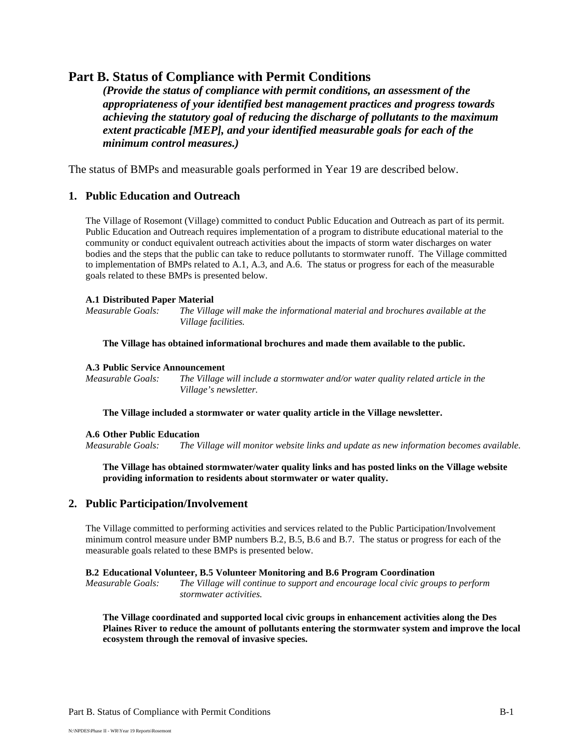## **Part B. Status of Compliance with Permit Conditions**

*(Provide the status of compliance with permit conditions, an assessment of the appropriateness of your identified best management practices and progress towards achieving the statutory goal of reducing the discharge of pollutants to the maximum extent practicable [MEP], and your identified measurable goals for each of the minimum control measures.)*

The status of BMPs and measurable goals performed in Year 19 are described below.

## **1. Public Education and Outreach**

The Village of Rosemont (Village) committed to conduct Public Education and Outreach as part of its permit. Public Education and Outreach requires implementation of a program to distribute educational material to the community or conduct equivalent outreach activities about the impacts of storm water discharges on water bodies and the steps that the public can take to reduce pollutants to stormwater runoff. The Village committed to implementation of BMPs related to A.1, A.3, and A.6. The status or progress for each of the measurable goals related to these BMPs is presented below.

#### **A.1 Distributed Paper Material**

*Measurable Goals: The Village will make the informational material and brochures available at the Village facilities.* 

**The Village has obtained informational brochures and made them available to the public.** 

#### **A.3 Public Service Announcement**

*Measurable Goals: The Village will include a stormwater and/or water quality related article in the Village's newsletter.*

**The Village included a stormwater or water quality article in the Village newsletter.**

#### **A.6 Other Public Education**

*Measurable Goals: The Village will monitor website links and update as new information becomes available.*

**The Village has obtained stormwater/water quality links and has posted links on the Village website providing information to residents about stormwater or water quality.** 

## **2. Public Participation/Involvement**

The Village committed to performing activities and services related to the Public Participation/Involvement minimum control measure under BMP numbers B.2, B.5, B.6 and B.7. The status or progress for each of the measurable goals related to these BMPs is presented below.

#### **B.2 Educational Volunteer, B.5 Volunteer Monitoring and B.6 Program Coordination**

*Measurable Goals: The Village will continue to support and encourage local civic groups to perform stormwater activities.* 

**The Village coordinated and supported local civic groups in enhancement activities along the Des Plaines River to reduce the amount of pollutants entering the stormwater system and improve the local ecosystem through the removal of invasive species.**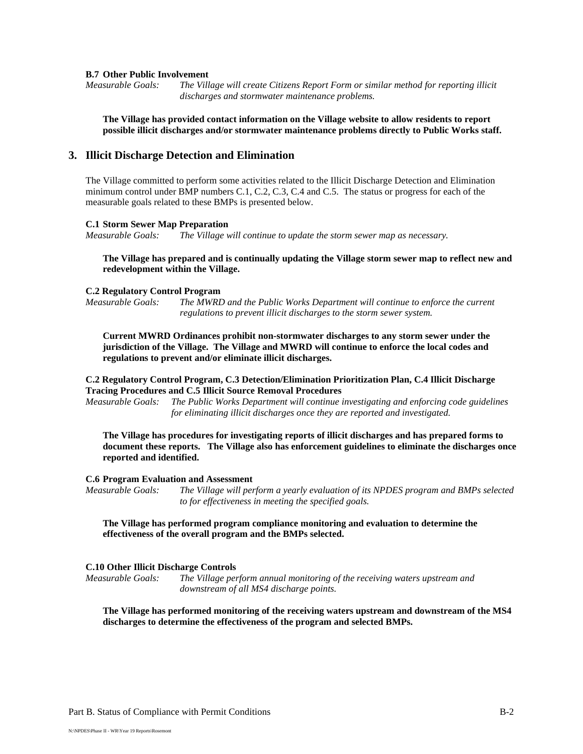#### **B.7 Other Public Involvement**

*Measurable Goals: The Village will create Citizens Report Form or similar method for reporting illicit discharges and stormwater maintenance problems.*

**The Village has provided contact information on the Village website to allow residents to report possible illicit discharges and/or stormwater maintenance problems directly to Public Works staff.** 

#### **3. Illicit Discharge Detection and Elimination**

The Village committed to perform some activities related to the Illicit Discharge Detection and Elimination minimum control under BMP numbers C.1, C.2, C.3, C.4 and C.5. The status or progress for each of the measurable goals related to these BMPs is presented below.

#### **C.1 Storm Sewer Map Preparation**

*Measurable Goals: The Village will continue to update the storm sewer map as necessary.*

#### **The Village has prepared and is continually updating the Village storm sewer map to reflect new and redevelopment within the Village.**

#### **C.2 Regulatory Control Program**

*Measurable Goals: The MWRD and the Public Works Department will continue to enforce the current regulations to prevent illicit discharges to the storm sewer system.*

**Current MWRD Ordinances prohibit non-stormwater discharges to any storm sewer under the jurisdiction of the Village. The Village and MWRD will continue to enforce the local codes and regulations to prevent and/or eliminate illicit discharges.** 

#### **C.2 Regulatory Control Program, C.3 Detection/Elimination Prioritization Plan, C.4 Illicit Discharge Tracing Procedures and C.5 Illicit Source Removal Procedures**

*Measurable Goals: The Public Works Department will continue investigating and enforcing code guidelines for eliminating illicit discharges once they are reported and investigated.* 

**The Village has procedures for investigating reports of illicit discharges and has prepared forms to document these reports. The Village also has enforcement guidelines to eliminate the discharges once reported and identified.** 

#### **C.6 Program Evaluation and Assessment**

*Measurable Goals: The Village will perform a yearly evaluation of its NPDES program and BMPs selected to for effectiveness in meeting the specified goals.* 

#### **The Village has performed program compliance monitoring and evaluation to determine the effectiveness of the overall program and the BMPs selected.**

#### **C.10 Other Illicit Discharge Controls**

*Measurable Goals: The Village perform annual monitoring of the receiving waters upstream and downstream of all MS4 discharge points.* 

**The Village has performed monitoring of the receiving waters upstream and downstream of the MS4 discharges to determine the effectiveness of the program and selected BMPs.**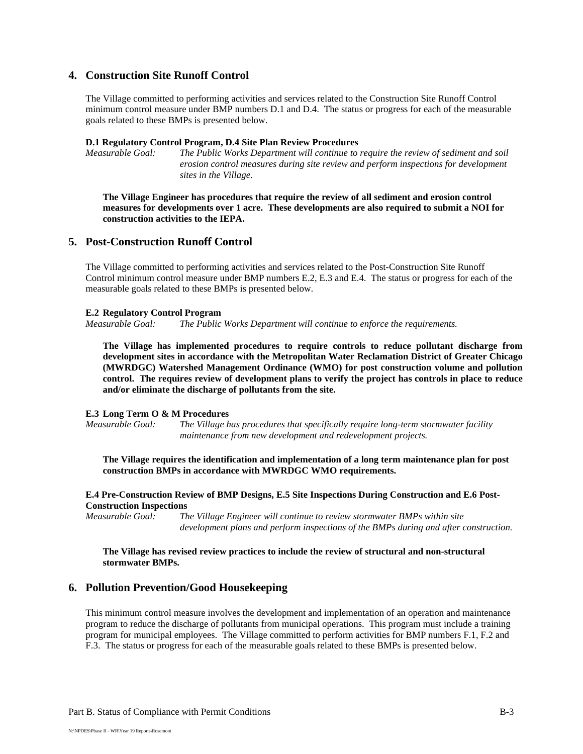### **4. Construction Site Runoff Control**

The Village committed to performing activities and services related to the Construction Site Runoff Control minimum control measure under BMP numbers D.1 and D.4. The status or progress for each of the measurable goals related to these BMPs is presented below.

#### **D.1 Regulatory Control Program, D.4 Site Plan Review Procedures**

*Measurable Goal:* The Public Works Department will continue to require the review of sediment and soil *erosion control measures during site review and perform inspections for development sites in the Village.*

**The Village Engineer has procedures that require the review of all sediment and erosion control measures for developments over 1 acre. These developments are also required to submit a NOI for construction activities to the IEPA.** 

#### **5. Post-Construction Runoff Control**

The Village committed to performing activities and services related to the Post-Construction Site Runoff Control minimum control measure under BMP numbers E.2, E.3 and E.4. The status or progress for each of the measurable goals related to these BMPs is presented below.

#### **E.2 Regulatory Control Program**

*Measurable Goal: The Public Works Department will continue to enforce the requirements.*

**The Village has implemented procedures to require controls to reduce pollutant discharge from development sites in accordance with the Metropolitan Water Reclamation District of Greater Chicago (MWRDGC) Watershed Management Ordinance (WMO) for post construction volume and pollution control. The requires review of development plans to verify the project has controls in place to reduce and/or eliminate the discharge of pollutants from the site.** 

#### **E.3 Long Term O & M Procedures**

*Measurable Goal: The Village has procedures that specifically require long-term stormwater facility maintenance from new development and redevelopment projects.*

**The Village requires the identification and implementation of a long term maintenance plan for post construction BMPs in accordance with MWRDGC WMO requirements.** 

#### **E.4 Pre-Construction Review of BMP Designs, E.5 Site Inspections During Construction and E.6 Post-Construction Inspections**

*Measurable Goal: The Village Engineer will continue to review stormwater BMPs within site development plans and perform inspections of the BMPs during and after construction.*

#### **The Village has revised review practices to include the review of structural and non-structural stormwater BMPs.**

#### **6. Pollution Prevention/Good Housekeeping**

This minimum control measure involves the development and implementation of an operation and maintenance program to reduce the discharge of pollutants from municipal operations. This program must include a training program for municipal employees. The Village committed to perform activities for BMP numbers F.1, F.2 and F.3. The status or progress for each of the measurable goals related to these BMPs is presented below.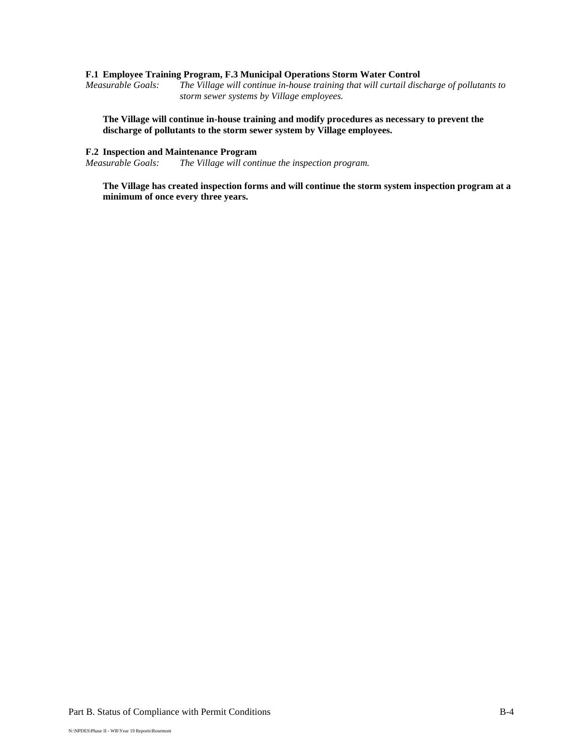#### **F.1 Employee Training Program, F.3 Municipal Operations Storm Water Control**

*Measurable Goals: The Village will continue in-house training that will curtail discharge of pollutants to storm sewer systems by Village employees.*

**The Village will continue in-house training and modify procedures as necessary to prevent the discharge of pollutants to the storm sewer system by Village employees.** 

### **F.2 Inspection and Maintenance Program**

*Measurable Goals: The Village will continue the inspection program.*

**The Village has created inspection forms and will continue the storm system inspection program at a minimum of once every three years.**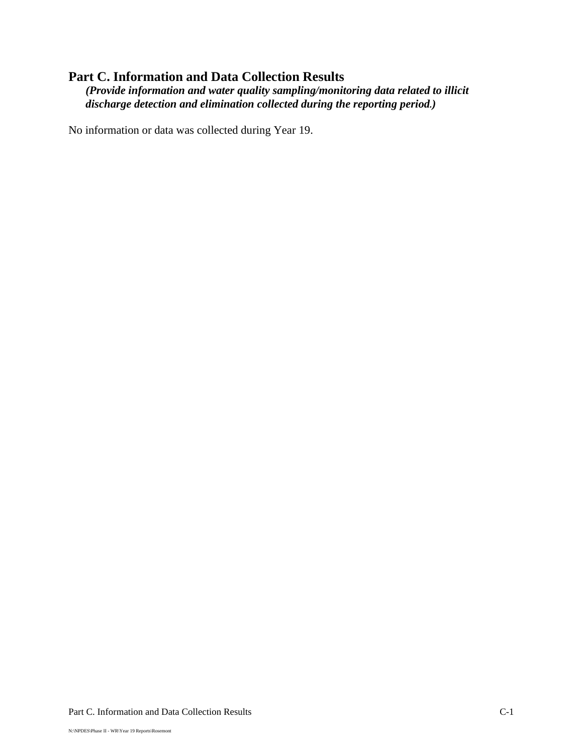## **Part C. Information and Data Collection Results**

*(Provide information and water quality sampling/monitoring data related to illicit discharge detection and elimination collected during the reporting period.)*

No information or data was collected during Year 19.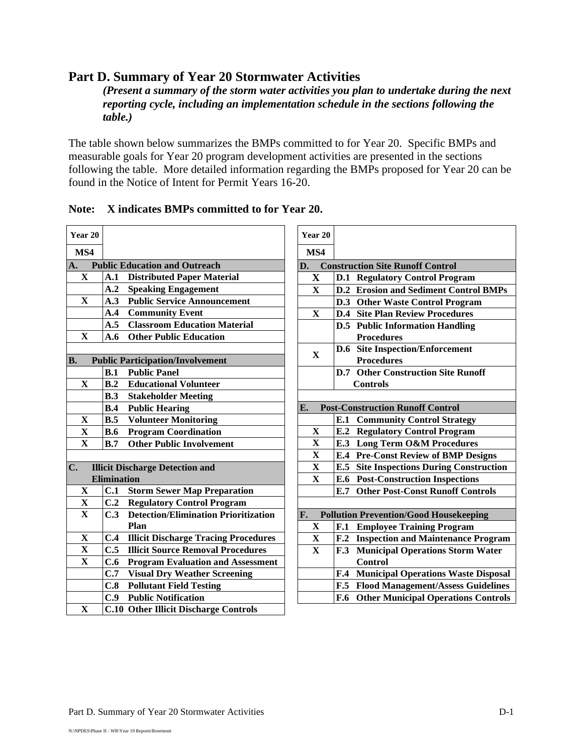## **Part D. Summary of Year 20 Stormwater Activities**

*(Present a summary of the storm water activities you plan to undertake during the next reporting cycle, including an implementation schedule in the sections following the table.)*

The table shown below summarizes the BMPs committed to for Year 20. Specific BMPs and measurable goals for Year 20 program development activities are presented in the sections following the table. More detailed information regarding the BMPs proposed for Year 20 can be found in the Notice of Intent for Permit Years 16-20.

| Year 20                 |                    |                                              |
|-------------------------|--------------------|----------------------------------------------|
| MS4                     |                    |                                              |
| A.                      |                    | <b>Public Education and Outreach</b>         |
| X                       | A.1                | <b>Distributed Paper Material</b>            |
|                         | A.2                | <b>Speaking Engagement</b>                   |
| $\overline{\mathbf{X}}$ | A.3                | <b>Public Service Announcement</b>           |
|                         | A.4                | <b>Community Event</b>                       |
|                         | A.5                | <b>Classroom Education Material</b>          |
| $\overline{\mathbf{X}}$ | A.6                | <b>Other Public Education</b>                |
|                         |                    |                                              |
| <b>B.</b>               |                    | <b>Public Participation/Involvement</b>      |
|                         | B.1                | <b>Public Panel</b>                          |
| $\overline{\mathbf{X}}$ | B.2                | <b>Educational Volunteer</b>                 |
|                         | B.3                | <b>Stakeholder Meeting</b>                   |
|                         | B.4                | <b>Public Hearing</b>                        |
| X                       | B.5                | <b>Volunteer Monitoring</b>                  |
| $\overline{\mathbf{X}}$ | B.6                | <b>Program Coordination</b>                  |
| $\overline{\mathbf{X}}$ | B.7                | <b>Other Public Involvement</b>              |
|                         |                    |                                              |
| $\mathbf{C}$ .          |                    | <b>Illicit Discharge Detection and</b>       |
|                         | <b>Elimination</b> |                                              |
| X                       | C.1                | <b>Storm Sewer Map Preparation</b>           |
| X                       | C.2                | <b>Regulatory Control Program</b>            |
| $\overline{\mathbf{X}}$ | C.3                | <b>Detection/Elimination Prioritization</b>  |
|                         |                    | Plan                                         |
| $\mathbf X$             | C.4                | <b>Illicit Discharge Tracing Procedures</b>  |
| $\overline{\mathbf{X}}$ | C.5                | <b>Illicit Source Removal Procedures</b>     |
| $\overline{\mathbf{X}}$ | C.6                | <b>Program Evaluation and Assessment</b>     |
|                         | C.7                | <b>Visual Dry Weather Screening</b>          |
|                         | C.8                | <b>Pollutant Field Testing</b>               |
|                         | C.9                | <b>Public Notification</b>                   |
| $\overline{\mathbf{X}}$ |                    | <b>C.10 Other Illicit Discharge Controls</b> |

| Note: X indicates BMPs committed to for Year 20. |  |
|--------------------------------------------------|--|
|                                                  |  |

| Year 20                 |                 |                                               |
|-------------------------|-----------------|-----------------------------------------------|
| MS4                     |                 |                                               |
| D.                      |                 | <b>Construction Site Runoff Control</b>       |
| $\mathbf X$             | D.1             | <b>Regulatory Control Program</b>             |
| $\mathbf X$             | D.2             | <b>Erosion and Sediment Control BMPs</b>      |
|                         |                 | D.3 Other Waste Control Program               |
| $\mathbf X$             |                 | <b>D.4 Site Plan Review Procedures</b>        |
|                         | D.5             | <b>Public Information Handling</b>            |
|                         |                 | <b>Procedures</b>                             |
| $\mathbf X$             | D.6             | <b>Site Inspection/Enforcement</b>            |
|                         |                 | <b>Procedures</b>                             |
|                         | D.7             | <b>Other Construction Site Runoff</b>         |
|                         |                 | <b>Controls</b>                               |
|                         |                 |                                               |
| E.                      |                 | <b>Post-Construction Runoff Control</b>       |
|                         | E.1             | <b>Community Control Strategy</b>             |
| $\mathbf{X}$            | E.2             | <b>Regulatory Control Program</b>             |
| $\mathbf X$             | E.3             | <b>Long Term O&amp;M Procedures</b>           |
| $\mathbf X$             | E.4             | <b>Pre-Const Review of BMP Designs</b>        |
| $\mathbf X$             | E.5             | <b>Site Inspections During Construction</b>   |
| $\overline{\mathbf{X}}$ | E.6             | <b>Post-Construction Inspections</b>          |
|                         | E.7             | <b>Other Post-Const Runoff Controls</b>       |
|                         |                 |                                               |
| F.                      |                 | <b>Pollution Prevention/Good Housekeeping</b> |
| $\mathbf X$             | F.1             | <b>Employee Training Program</b>              |
| $\mathbf X$             | F <sub>.2</sub> | <b>Inspection and Maintenance Program</b>     |
| $\mathbf X$             | F.3             | <b>Municipal Operations Storm Water</b>       |
|                         |                 | <b>Control</b>                                |
|                         | F.4             | <b>Municipal Operations Waste Disposal</b>    |
|                         | F.5             | <b>Flood Management/Assess Guidelines</b>     |
|                         | F.6             | <b>Other Municipal Operations Controls</b>    |
|                         |                 |                                               |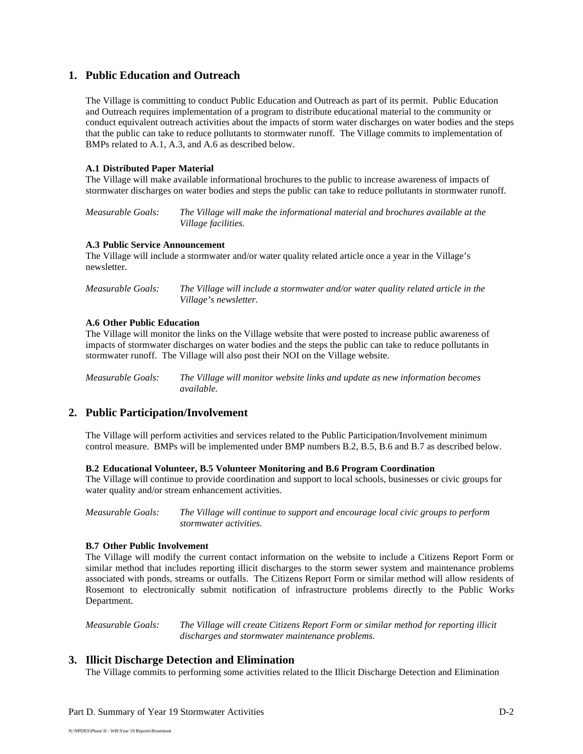## **1. Public Education and Outreach**

The Village is committing to conduct Public Education and Outreach as part of its permit. Public Education and Outreach requires implementation of a program to distribute educational material to the community or conduct equivalent outreach activities about the impacts of storm water discharges on water bodies and the steps that the public can take to reduce pollutants to stormwater runoff. The Village commits to implementation of BMPs related to A.1, A.3, and A.6 as described below.

### **A.1 Distributed Paper Material**

The Village will make available informational brochures to the public to increase awareness of impacts of stormwater discharges on water bodies and steps the public can take to reduce pollutants in stormwater runoff.

*Measurable Goals: The Village will make the informational material and brochures available at the Village facilities.* 

#### **A.3 Public Service Announcement**

The Village will include a stormwater and/or water quality related article once a year in the Village's newsletter.

*Measurable Goals: The Village will include a stormwater and/or water quality related article in the Village's newsletter.*

#### **A.6 Other Public Education**

The Village will monitor the links on the Village website that were posted to increase public awareness of impacts of stormwater discharges on water bodies and the steps the public can take to reduce pollutants in stormwater runoff. The Village will also post their NOI on the Village website.

*Measurable Goals: The Village will monitor website links and update as new information becomes available.*

## **2. Public Participation/Involvement**

The Village will perform activities and services related to the Public Participation/Involvement minimum control measure. BMPs will be implemented under BMP numbers B.2, B.5, B.6 and B.7 as described below.

#### **B.2 Educational Volunteer, B.5 Volunteer Monitoring and B.6 Program Coordination**

The Village will continue to provide coordination and support to local schools, businesses or civic groups for water quality and/or stream enhancement activities.

*Measurable Goals: The Village will continue to support and encourage local civic groups to perform stormwater activities.* 

#### **B.7 Other Public Involvement**

The Village will modify the current contact information on the website to include a Citizens Report Form or similar method that includes reporting illicit discharges to the storm sewer system and maintenance problems associated with ponds, streams or outfalls. The Citizens Report Form or similar method will allow residents of Rosemont to electronically submit notification of infrastructure problems directly to the Public Works Department.

*Measurable Goals: The Village will create Citizens Report Form or similar method for reporting illicit discharges and stormwater maintenance problems.*

## **3. Illicit Discharge Detection and Elimination**

The Village commits to performing some activities related to the Illicit Discharge Detection and Elimination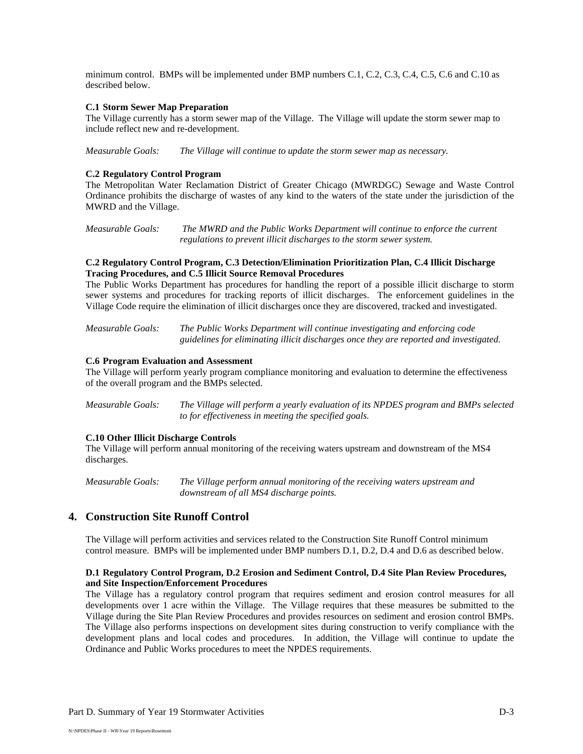minimum control. BMPs will be implemented under BMP numbers C.1, C.2, C.3, C.4, C.5, C.6 and C.10 as described below.

#### **C.1 Storm Sewer Map Preparation**

The Village currently has a storm sewer map of the Village. The Village will update the storm sewer map to include reflect new and re-development.

*Measurable Goals: The Village will continue to update the storm sewer map as necessary.*

#### **C.2 Regulatory Control Program**

The Metropolitan Water Reclamation District of Greater Chicago (MWRDGC) Sewage and Waste Control Ordinance prohibits the discharge of wastes of any kind to the waters of the state under the jurisdiction of the MWRD and the Village.

*Measurable Goals: The MWRD and the Public Works Department will continue to enforce the current regulations to prevent illicit discharges to the storm sewer system.*

#### **C.2 Regulatory Control Program, C.3 Detection/Elimination Prioritization Plan, C.4 Illicit Discharge Tracing Procedures, and C.5 Illicit Source Removal Procedures**

The Public Works Department has procedures for handling the report of a possible illicit discharge to storm sewer systems and procedures for tracking reports of illicit discharges. The enforcement guidelines in the Village Code require the elimination of illicit discharges once they are discovered, tracked and investigated.

*Measurable Goals: The Public Works Department will continue investigating and enforcing code guidelines for eliminating illicit discharges once they are reported and investigated.* 

#### **C.6 Program Evaluation and Assessment**

The Village will perform yearly program compliance monitoring and evaluation to determine the effectiveness of the overall program and the BMPs selected.

*Measurable Goals: The Village will perform a yearly evaluation of its NPDES program and BMPs selected to for effectiveness in meeting the specified goals.* 

#### **C.10 Other Illicit Discharge Controls**

The Village will perform annual monitoring of the receiving waters upstream and downstream of the MS4 discharges.

*Measurable Goals: The Village perform annual monitoring of the receiving waters upstream and downstream of all MS4 discharge points.* 

## **4. Construction Site Runoff Control**

The Village will perform activities and services related to the Construction Site Runoff Control minimum control measure. BMPs will be implemented under BMP numbers D.1, D.2, D.4 and D.6 as described below.

#### **D.1 Regulatory Control Program, D.2 Erosion and Sediment Control, D.4 Site Plan Review Procedures, and Site Inspection/Enforcement Procedures**

The Village has a regulatory control program that requires sediment and erosion control measures for all developments over 1 acre within the Village. The Village requires that these measures be submitted to the Village during the Site Plan Review Procedures and provides resources on sediment and erosion control BMPs. The Village also performs inspections on development sites during construction to verify compliance with the development plans and local codes and procedures. In addition, the Village will continue to update the Ordinance and Public Works procedures to meet the NPDES requirements.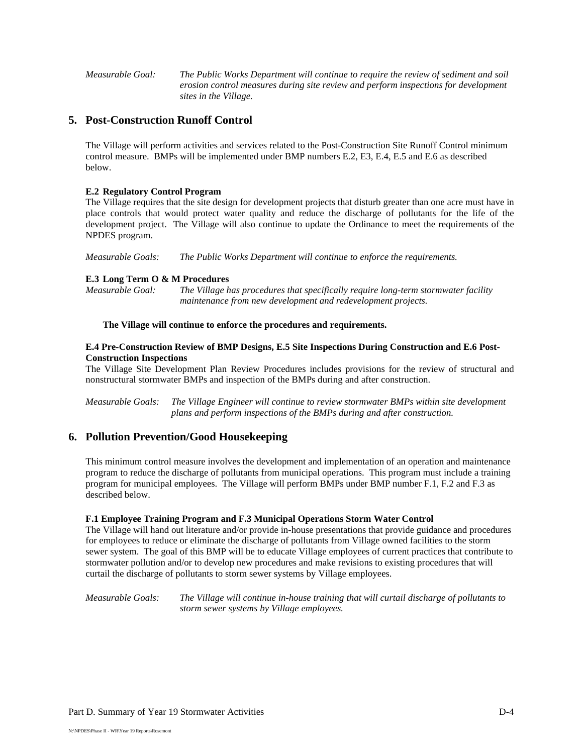*Measurable Goal: The Public Works Department will continue to require the review of sediment and soil erosion control measures during site review and perform inspections for development sites in the Village.*

## **5. Post-Construction Runoff Control**

The Village will perform activities and services related to the Post-Construction Site Runoff Control minimum control measure. BMPs will be implemented under BMP numbers E.2, E3, E.4, E.5 and E.6 as described below.

#### **E.2 Regulatory Control Program**

The Village requires that the site design for development projects that disturb greater than one acre must have in place controls that would protect water quality and reduce the discharge of pollutants for the life of the development project. The Village will also continue to update the Ordinance to meet the requirements of the NPDES program.

*Measurable Goals: The Public Works Department will continue to enforce the requirements.*

#### **E.3 Long Term O & M Procedures**

*Measurable Goal: The Village has procedures that specifically require long-term stormwater facility maintenance from new development and redevelopment projects.*

#### **The Village will continue to enforce the procedures and requirements.**

#### **E.4 Pre-Construction Review of BMP Designs, E.5 Site Inspections During Construction and E.6 Post-Construction Inspections**

The Village Site Development Plan Review Procedures includes provisions for the review of structural and nonstructural stormwater BMPs and inspection of the BMPs during and after construction.

*Measurable Goals: The Village Engineer will continue to review stormwater BMPs within site development plans and perform inspections of the BMPs during and after construction.*

## **6. Pollution Prevention/Good Housekeeping**

This minimum control measure involves the development and implementation of an operation and maintenance program to reduce the discharge of pollutants from municipal operations. This program must include a training program for municipal employees. The Village will perform BMPs under BMP number F.1, F.2 and F.3 as described below.

#### **F.1 Employee Training Program and F.3 Municipal Operations Storm Water Control**

The Village will hand out literature and/or provide in-house presentations that provide guidance and procedures for employees to reduce or eliminate the discharge of pollutants from Village owned facilities to the storm sewer system. The goal of this BMP will be to educate Village employees of current practices that contribute to stormwater pollution and/or to develop new procedures and make revisions to existing procedures that will curtail the discharge of pollutants to storm sewer systems by Village employees.

*Measurable Goals: The Village will continue in-house training that will curtail discharge of pollutants to storm sewer systems by Village employees.*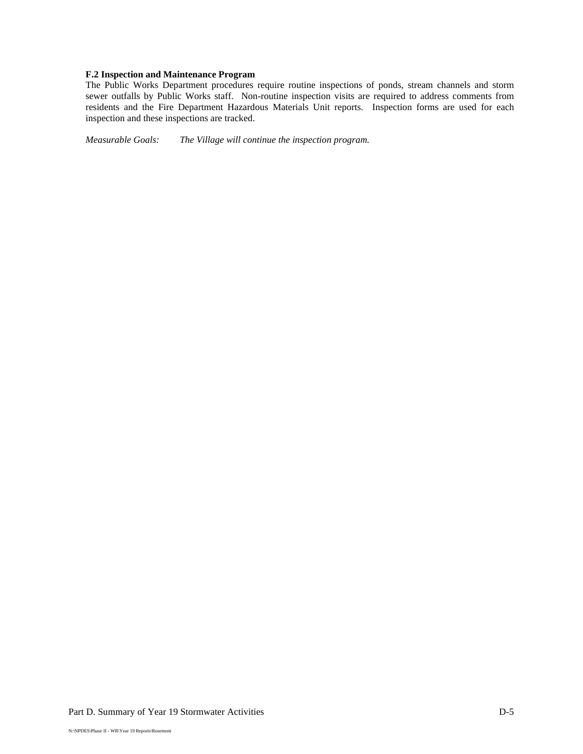### **F.2 Inspection and Maintenance Program**

The Public Works Department procedures require routine inspections of ponds, stream channels and storm sewer outfalls by Public Works staff. Non-routine inspection visits are required to address comments from residents and the Fire Department Hazardous Materials Unit reports. Inspection forms are used for each inspection and these inspections are tracked.

*Measurable Goals: The Village will continue the inspection program.*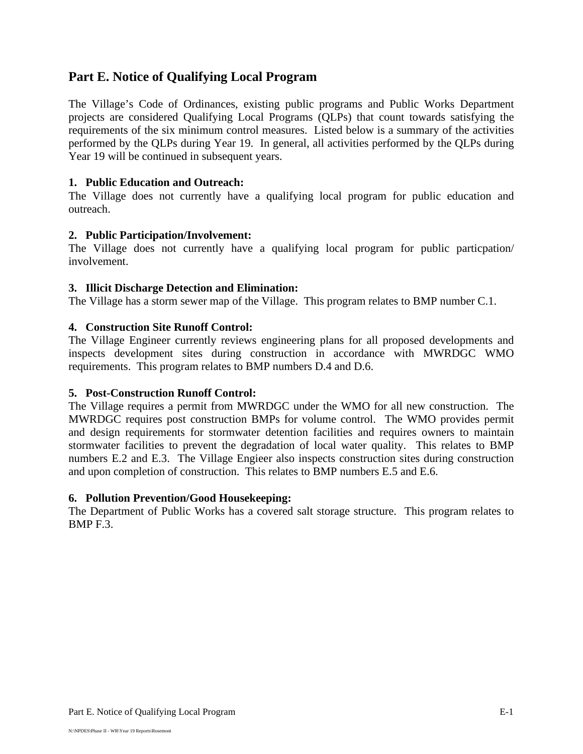## **Part E. Notice of Qualifying Local Program**

The Village's Code of Ordinances, existing public programs and Public Works Department projects are considered Qualifying Local Programs (QLPs) that count towards satisfying the requirements of the six minimum control measures.Listed below is a summary of the activities performed by the QLPs during Year 19. In general, all activities performed by the QLPs during Year 19 will be continued in subsequent years.

## **1. Public Education and Outreach:**

The Village does not currently have a qualifying local program for public education and outreach.

## **2. Public Participation/Involvement:**

The Village does not currently have a qualifying local program for public particpation/ involvement.

## **3. Illicit Discharge Detection and Elimination:**

The Village has a storm sewer map of the Village. This program relates to BMP number C.1.

## **4. Construction Site Runoff Control:**

The Village Engineer currently reviews engineering plans for all proposed developments and inspects development sites during construction in accordance with MWRDGC WMO requirements. This program relates to BMP numbers D.4 and D.6.

## **5. Post-Construction Runoff Control:**

The Village requires a permit from MWRDGC under the WMO for all new construction. The MWRDGC requires post construction BMPs for volume control. The WMO provides permit and design requirements for stormwater detention facilities and requires owners to maintain stormwater facilities to prevent the degradation of local water quality. This relates to BMP numbers E.2 and E.3. The Village Engieer also inspects construction sites during construction and upon completion of construction. This relates to BMP numbers E.5 and E.6.

## **6. Pollution Prevention/Good Housekeeping:**

The Department of Public Works has a covered salt storage structure. This program relates to BMP F.3.